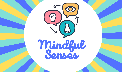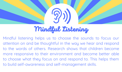

## Mindful Listening

Mindful listening helps us to choose the sounds to focus our attention on and be thoughtful in the way we hear and respond to the words of others. Research shows that children become more responsive to their environment and become better able to choose what they focus on and respond to. This helps them to build self-awareness and self-management skills.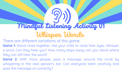# Mindful Listening Activity 01 Whisper Words

There are different variations of this game.

**Game 1:** Stand close together. Ask your child to close their eyes. Whisper a word. Can they hear you? How many steps away can you stand where they can still hear the word?

**Game 2:** With more people, pass a message around the circle by whispering in the next person's ear. Can everyone listen carefully and pass the message on correctly?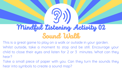# Mindful Listening Activity 02 Sound Walk

This is a great game to play on a walk or outside in your garden. Whilst outside, take a moment to stop and be still. Encourage your child to close their eyes and listen for 2 or 3 minutes. What can they hear?

Take a small piece of paper with you. Can they turn the sounds they hear into symbols to create a sound map?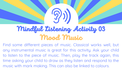

## Mindful Listening Activity 03 Mood Music

Find some different pieces of music. Classical works well, but any instrumental music is great for this activity. Ask your child to listen to the piece of music. Then, play the track again, this time asking your child to draw as they listen and respond to the music with mark making. This can also be linked to colours.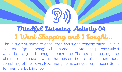## Mindful Listening Activity 04 I Went Shopping and I bought...

This is a great game to encourage focus and concentration. Take it in turns to 'go shopping' to buy something. Start the phrase with: 'I went shopping and I bought...' each time. The next person says the phrase and repeats what the person before picks, then adds something of their own. How many items can you remember? Great for memoru building too!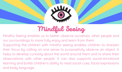

#### Mindful Seeing

Mindful Seeing enables us to better observe ourselves, other people and our surroundings to more fully enjoy and learn from them.

Supporting the children with mindful seeing enables children to sharpen their focus by calling on one sense to purposefully observe an object. It helps to develop curiosity about the world around them and to share their observations with other people. It can also supports social-emotional learning and builds children's ability to read social cues, facial expressions and body language.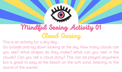

## Mindful Seeing Activity 01 Cloud Gazing

This is an activity for a dru day...

Go outside and lay down looking at the sky. How many clouds can you see? What shapes do they make? What can you 'see' in the clouds? Can you tell a cloud story? This can be played anywhere but is great to play at the beach on the soft sand, listening to the sound of the waves!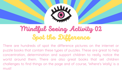

#### Mindful Seeing Activity 02 Spot the Difference

There are hundreds of spot the difference pictures on the internet or puzzle books that contain these types of puzzles. These are great to help concentration, determination and support children to really notice the world around them. There are also great books that set children challenges to find things on the page and of course, 'Where's Wally' is a must!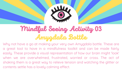

#### Mindful Seeing Activity 03 Amygdala Bottle

Why not have a go at making your very own Amygdala bottle. These are a great tool to have in a mindfulness toolkit and can be made fairly easily. These provide a visual representation of how our brain might 'look' when we are overwhelmed, frustrated, worried or cross. The act of shaking them is a great way to relieve tension and watching the glitter or contents settle has a lovely calming effect.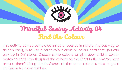

#### Mindful Seeing Activity 04 Find the Colour

This activity can be completed inside or outside in nature. A great way to do this easily is to use a paint colour chart or colour card that you can pick up in DIY stores. Choose some colours or give your child a colour matching card. Can they find the colours on the chart in the environment around them? Using shades/tones of the same colour is also a great challenge for older children.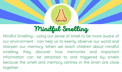

#### Mindful Smelling

Mindful Smelling - using our sense of smell to be more aware of our environment - can help us to keenly observe our world and sharpen our memory. When we teach children about mindful smelling, they discover how memories and important information can be attached to and triggered by smells because the smell and memory centres in the brain are close together.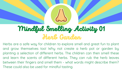#### Mindful Smelling Activity 01 Herb Garden

Herbs are a safe way for children to explore smell and great fun to plant and grow themselves too! Why not create a herb pot or garden by planting a selection of different herbs. The children can then smell these and learn the scents of different herbs. They can rub the herb leaves between their fingers and smell them - what words might describe them? These could also be used for mindful tasting.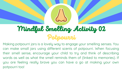#### Mindful Smelling Activity 02 Potpourri

Making potpourri jars is a lovely way to engage your smelling senses. You can make small jars using different scents of potpourri. When focusing their smell sense, encourage your child to try and think of describing words as well as what the smell reminds them of (linked to memories). If uou are feeling really brave you can have a go at making your own potpourri too!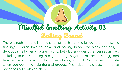## Mindful Smelling Activity 03 Baking Bread

There is nothing quite like the smell of freshly baked bread to get the sense tingling! Children love to bake and baking bread combines not only a delicious smell when you are baking, but also engages other senses as well, including touch. Kneading is a great way to get rid of excess energy and tension; the soft, squidgy dough feels lovely to touch. Not to mention taste when you get to sample the end product! Pizza dough is a quick and easy recipe to make with children.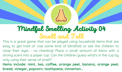#### Mindful Smelling Activity 04 Smell and Tell

This is a great game that can be played using household items that are easy to get hold of. Use some kind of blindfold or ask the children to close their eyes - no cheating! Place a small amount of items with a strong scent into a paper cup. Can the children guess what's in the cup by onlu using their sense of smell?

**Items include: mint, tea, coffee, orange peel, banana, orange peel, bread, vinegar, popcorn, toothpaste, cinnamon...**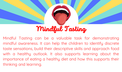## Mindful Tasting

Mindful Tasting can be a valuable task for demonstrating mindful awareness. It can help the children to identifu discrete taste sensations, build their descriptive skills and approach food with a healthy outlook. It also supports learning about the importance of eating a healthy diet and how this supports their thinking and learning.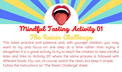#### Mindful Tasting Activity 01 The Raisin Challenge

This takes practice and patience and, with younger children, you may want to try and focus on one step at a time rather than trying it altogether! It is a great activity to try to teach the children to take mindful bites and links to 'Activity 03' where the same process is followed with different foods. You can, of course, switch the raisin, but keep it simple. Follow the instructions on 'The Raisin Challenge' sheet.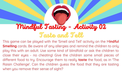## Mindful Tasting - Activity 02 Taste and Tell

This game can be played with the 'Smell and Tell' activity on the M**indful Smelling** cards. Be aware of any allergies and remind the children to only play this with an adult. Use some kind of blindfold or ask the children to close their eyes - no cheating! Give the children some small pieces of different food to try. Encourage them to really **taste** the food, as in 'The Raisin Challenge'. Can the children guess the food that theu are tastina when you remove their sense of sight?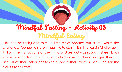#### Mindful Tasting - Activity 03 Mindful Eating

This can be tricky and takes a little bit of practice but is well worth the challenge. Younger children may like to start with 'The Raisin Challenge'. Follow the instructions of the 'Mindful Bites' activity support sheet. Each stage is important; it slows your child down and encourages them to use all of their other senses to support their taste sense. One for the adults to tru too!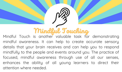#### Mindful Touching

Mindful Touch is another valuable task for demonstrating mindful awareness. It can help to create accurate sensory details that your brain receives and can help you to respond mindfully to the people and events around you. The practice of focused, mindful awareness through use of all our senses, enhances the ability of all young learners to direct their attention where needed.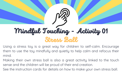# Mindful Touching - Activity 01 Stress Ball

Using a stress tou is a great way for children to self-calm. Encourage them to use the tou mindfully and quietly to help calm and refocus their mind.

Making their own stress ball is also a great activity linked to the touch sense and the children will be proud of their end creation.

See the instruction cards for details on how to make your own stress ball.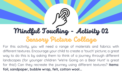# Mindful Touching - Activity 02 Sensory Picture Collage

For this activitu, you will need a range of materials and fabrics with different textures. Encourage your child to create a 'touch' picture; a great way to do this is by asking them to think of a journey through different landscapes (for younger children 'We're Going on a Bear Hunt' is great for this!) Can they recreate the journey using different textures? **Items: foil, sandpaper, bubble wrap, felt, cotton wool...**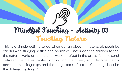# Mindful Touching - Activity 03 Touching Nature

This is a simple activitu to do when out an about in nature, although be careful with stinging nettles and brambles! Encourage the children to feel the natural world around them - walk barefoot in the grass, feel the sand between their toes, water lapping on their feet; soft delicate petals between their fingertips and the rough bark of a tree. Can theu describe the different textures?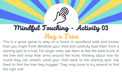# Mindful Touching - Activity 03 Hug a Tree

This is a great game to play on a forest or woodland walk and trickier than you might think! Blindfold your child and carefully lead them from a starting spot to a tree. For larger trees, ask them to feel the bark/trunk of the tree and wrap their arms around the trunk, thinking about how far round they can stretch. Lead your child back to the starting spot. Ask them to find the tree they hugged. They may have to try several to find the right one!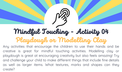# Mindful Touching - Activity 04 Playdough or Modelling Clay

Any activities that encourage the children to use their hands and be creative is great for mindful touching activities. Modelling clay or playdough is great at encouraging creativity but also feels amazing! Try and challenge your child to make different things that include fine details as well as larger items. What textures, marks and shapes can they create?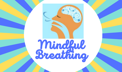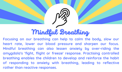#### Mindful Breathing

**Focusing on our breathing can help to calm the body, slow our heart rate, lower our blood pressure and sharpen our focus. Mindful breathing can also lessen anxiety by over-riding the amygdala's 'fight, flight or freeze' response. Practising controlled breathing enables the children to develop and reinforce the habit of responding to anxiety with breathing, leading to reflective rather than reactive responses.**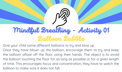## Mindful Breathing - Activity 01 Balloon Bubble

Give your child some different balloons to try and blow up.

Once they have blown up the balloon, encourage them to try and keep the balloon afloat off the floor using their hands. The object is to avoid the balloon touching the floor for as long as possible or for a given length of time. This encourages focus and concentration; they have to watch the balloon to make sure it does not fall.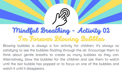# Mindful Breathing - Activity 02 I'm Forever Blowing Bubbles

Blowing bubbles is always a fun activity for children; it's always so satisfuing to see the bubbles floating through the air. Encourage them to think about gentle breaths to create as many bubbles as they can. Alternatively, blow the bubbles for the children and ask them to watch until the last bubble has popped or to focus on one of the bubbles and watch it until it disappears.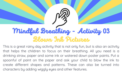## Mindful Breathing - Activity 03 Blown Ink Pictures

This is a great rainy day activity that is not only fun, but is also an activity that helps the children to focus on their breathing. All you need is a drinking straw, paper and some ink or watered down poster paints. Put a spoonful of paint on the paper and ask your child to blow the ink to create different shapes and patterns. These can also be turned into characters by adding wiggly eyes and other features.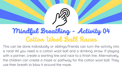## Mindful Breathing - Activity 04 Cotton Wool Ball Races

This can be done individually or siblings/friends can turn the activity into a race! All you need is a cotton wool ball and a drinking straw. If playing with a partner, create a starting line and race to a finish line. Alternatively, the children can create a maze or pathway for the cotton wool ball. They use their breath to blow it around the maze.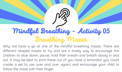# Mindful Breathing - Activity 05 Breathing Mazes

Why not have a go at one of the mindful breathing mazes. There are different shaped mazes to try and are a lovely way to encourage the children to slow down, pause, hold their breath and breath slowly in and out. It may be best to print these out (if you have a laminator you could create a set to use over and over again) and encourage your child to follow the maze with their finger.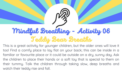## Mindful Breathing - Activity 06 Teddy Bear Breaths

This is a great activity for younger children, but the older ones will love it too! Find a comfy place to lay flat on your back; this can be inside in a familiar or favourite place or it could be outside on a dru, sunnu day. Ask the children to place their hands or a soft tou that is special to them on their tummy. Talk the children through taking slow, deep breaths and watch their teddy rise and fall.